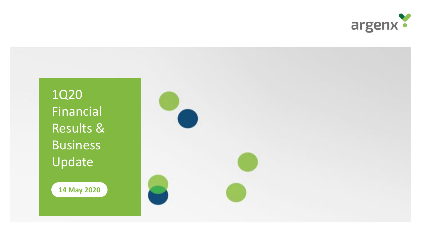

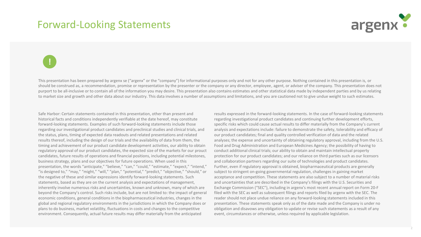#### Forward-Looking Statements



2

# **!**

This presentation has been prepared by argenx se ("argenx" or the "company") for informational purposes only and not for any other purpose. Nothing contained in this presentation is, or should be construed as, a recommendation, promise or representation by the presenter or the company or any director, employee, agent, or adviser of the company. This presentation does not purport to be all-inclusive or to contain all of the information you may desire. This presentation also contains estimates and other statistical data made by independent parties and by us relating to market size and growth and other data about our industry. This data involves a number of assumptions and limitations, and you are cautioned not to give undue weight to such estimates.

Safe Harbor: Certain statements contained in this presentation, other than present and historical facts and conditions independently verifiable at the date hereof, may constitute forward-looking statements. Examples of such forward-looking statements include those regarding our investigational product candidates and preclinical studies and clinical trials, and the status, plans, timing of expected data readouts and related presentations and related results thereof, including the design of our trials and the availability of data from them, the timing and achievement of our product candidate development activities, our ability to obtain regulatory approval of our product candidates, the expected size of the markets for our prouct candidates, future results of operations and financial positions, including potential milestones, business strategy, plans and our objectives for future operations. When used in this presentation, the words "anticipate," "believe," "can," "could," "estimate," "expect," "intend," "is designed to," "may," "might," "will," "plan," "potential," "predict," "objective," "should," or the negative of these and similar expressions identify forward-looking statements. Such statements, based as they are on the current analysis and expectations of management, inherently involve numerous risks and uncertainties, known and unknown, many of which are beyond the Company's control. Such risks include, but are not limited to: the impact of general economic conditions, general conditions in the biopharmaceutical industries, changes in the global and regional regulatory environments in the jurisdictions in which the Company does or plans to do business, market volatility, fluctuations in costs and changes to the competitive environment. Consequently, actual future results may differ materially from the anticipated

results expressed in the forward-looking statements. In the case of forward-looking statements regarding investigational product candidates and continuing further development efforts, specific risks which could cause actual results to differ materially from the Company's current analysis and expectations include: failure to demonstrate the safety, tolerability and efficacy of our product candidates; final and quality controlled verification of data and the related analyses; the expense and uncertainty of obtaining regulatory approval, including from the U.S. Food and Drug Administration and European Medicines Agency; the possibility of having to conduct additional clinical trials; our ability to obtain and maintain intellectual property protection for our product candidates; and our reliance on third parties such as our licensors and collaboration partners regarding our suite of technologies and product candidates. Further, even if regulatory approval is obtained, biopharmaceutical products are generally subject to stringent on-going governmental regulation, challenges in gaining market acceptance and competition. These statements are also subject to a number of material risks and uncertainties that are described in the Company's filings with the U.S. Securities and Exchange Commission ("SEC"), including in argenx's most recent annual report on Form 20-F filed with the SEC as well as subsequent filings and reports filed by argenx with the SEC. The reader should not place undue reliance on any forward-looking statements included in this presentation. These statements speak only as of the date made and the Company is under no obligation and disavows any obligation to update or revise such statements as a result of any event, circumstances or otherwise, unless required by applicable legislation.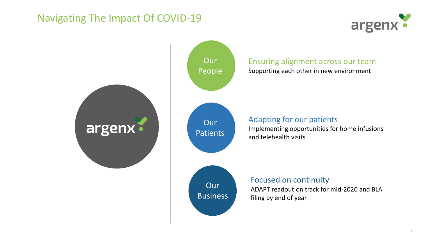### Navigating The Impact Of COVID-19



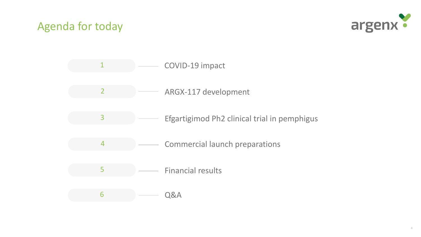### Agenda for today



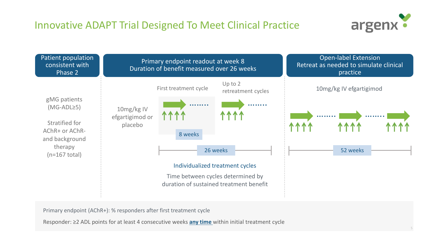### Innovative ADAPT Trial Designed To Meet Clinical Practice





Primary endpoint (AChR+): % responders after first treatment cycle

Responder: ≥2 ADL points for at least 4 consecutive weeks **any time** within initial treatment cycle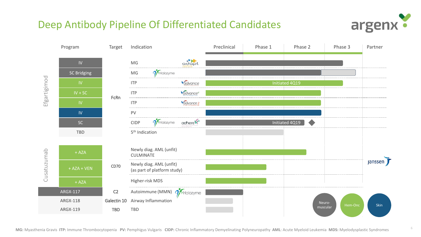#### Deep Antibody Pipeline Of Differentiated Candidates



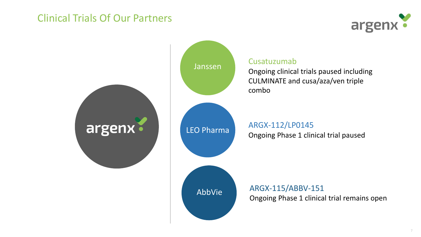#### Clinical Trials Of Our Partners



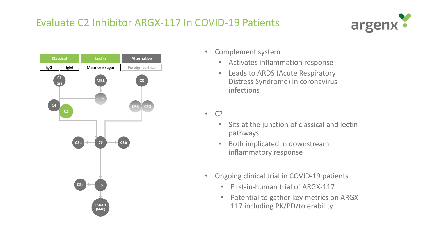### Evaluate C2 Inhibitor ARGX-117 In COVID-19 Patients





- Complement system
	- Activates inflammation response
	- Leads to ARDS (Acute Respiratory Distress Syndrome) in coronavirus infections

• C2

- Sits at the junction of classical and lectin pathways
- Both implicated in downstream inflammatory response
- Ongoing clinical trial in COVID-19 patients
	- First-in-human trial of ARGX-117
	- Potential to gather key metrics on ARGX-117 including PK/PD/tolerability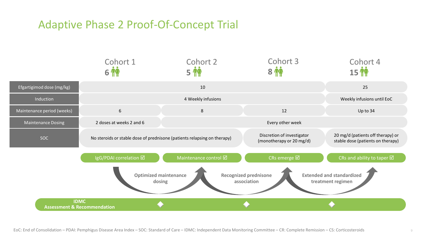### Adaptive Phase 2 Proof-Of-Concept Trial

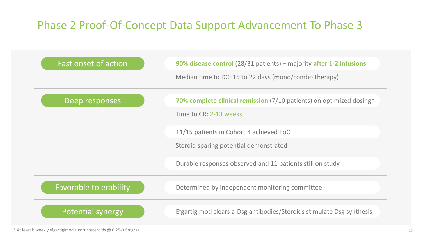## Phase 2 Proof-Of-Concept Data Support Advancement To Phase 3

| Fast onset of action          | 90% disease control (28/31 patients) - majority after 1-2 infusions<br>Median time to DC: 15 to 22 days (mono/combo therapy) |
|-------------------------------|------------------------------------------------------------------------------------------------------------------------------|
| Deep responses                | 70% complete clinical remission (7/10 patients) on optimized dosing*<br>Time to CR: 2-13 weeks                               |
|                               | 11/15 patients in Cohort 4 achieved EoC<br>Steroid sparing potential demonstrated                                            |
|                               | Durable responses observed and 11 patients still on study                                                                    |
| <b>Favorable tolerability</b> | Determined by independent monitoring committee                                                                               |
| <b>Potential synergy</b>      | Efgartigimod clears a-Dsg antibodies/Steroids stimulate Dsg synthesis                                                        |

\* At least biweekly efgartigimod + corticosteroids @ 0.25-0.5mg/kg 10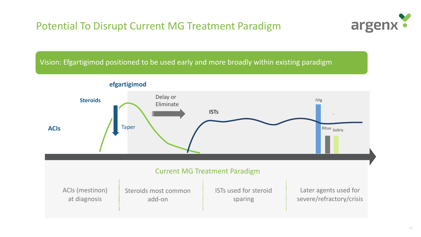### Potential To Disrupt Current MG Treatment Paradigm



Vision: Efgartigimod positioned to be used early and more broadly within existing paradigm



**efgartigimod**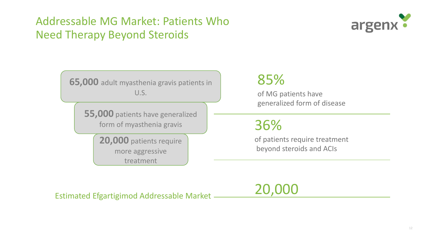## Addressable MG Market: Patients Who Need Therapy Beyond Steroids



**65,000** adult myasthenia gravis patients in U.S.

> **55,000** patients have generalized form of myasthenia gravis

> > **20,000** patients require more aggressive treatment

## 85%

of MG patients have generalized form of disease

36%

of patients require treatment beyond steroids and ACIs

Estimated Efgartigimod Addressable Market

20,000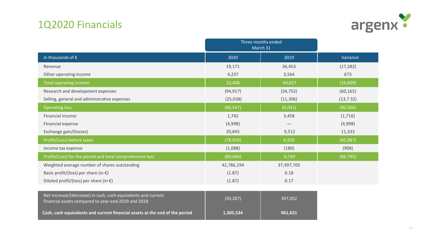### 1Q2020 Financials



|                                                                                                                      | Three months ended<br>March 31 |            |           |
|----------------------------------------------------------------------------------------------------------------------|--------------------------------|------------|-----------|
| in thousands of $\epsilon$                                                                                           | 2020                           | 2019       | Variance  |
| Revenue                                                                                                              | 19,171                         | 36,453     | (17, 282) |
| Other operating income                                                                                               | 4,237                          | 3,564      | 673       |
| Total operating income                                                                                               | 23,408                         | 40,017     | (16, 609) |
| Research and development expenses                                                                                    | (94, 917)                      | (34, 752)  | (60, 165) |
| Selling, general and administrative expenses                                                                         | (25,038)                       | (11, 306)  | (13, 732) |
| <b>Operating loss</b>                                                                                                | (96, 547)                      | (6,041)    | (90, 506) |
| Financial income                                                                                                     | 1,742                          | 3,458      | (1,716)   |
| Financial expense                                                                                                    | (4,998)                        |            | (4,998)   |
| Exchange gain/(losses)                                                                                               | 20,845                         | 9,512      | 11,333    |
| Profit/(Loss) before taxes                                                                                           | (78, 958)                      | 6,929      | (85, 887) |
| Income tax expense                                                                                                   | (1,088)                        | (180)      | (908)     |
| Profit/(Loss) for the period and total comprehensive loss                                                            | (80,046)                       | 6,749      | (86, 795) |
| Weighted average number of shares outstanding                                                                        | 42,786,194                     | 37,497,705 |           |
| Basic profit/(loss) per share (in $\epsilon$ )                                                                       | (1.87)                         | 0.18       |           |
| Diluted profit/(loss) per share (in $\epsilon$ )                                                                     | (1.87)                         | 0.17       |           |
|                                                                                                                      |                                |            |           |
| Net increase/(decrease) in cash, cash equivalents and current<br>financial assets compared to year-end 2019 and 2018 | (30, 287)                      | 397,052    |           |
| Cash, cash equivalents and current financial assets at the end of the period                                         | 1,305,534                      | 961,621    |           |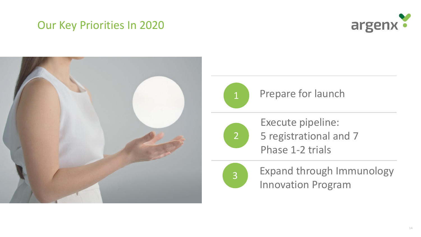### Our Key Priorities In 2020







#### Prepare for launch

Execute pipeline: 5 registrational and 7 Phase 1-2 trials



2

Expand through Immunology Innovation Program